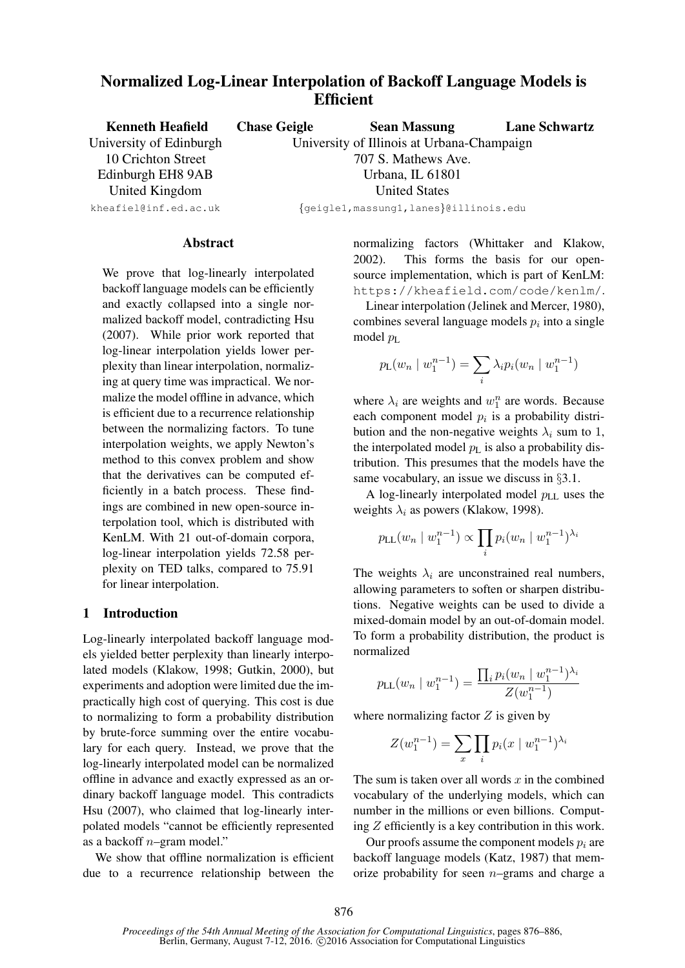# Normalized Log-Linear Interpolation of Backoff Language Models is **Efficient**

| <b>Kenneth Heafield</b> | <b>Chase Geigle</b> | <b>Sean Massung</b>                        | <b>Lane Schwartz</b> |  |
|-------------------------|---------------------|--------------------------------------------|----------------------|--|
| University of Edinburgh |                     | University of Illinois at Urbana-Champaign |                      |  |
| 10 Crichton Street      | 707 S. Mathews Ave. |                                            |                      |  |
| Edinburgh EH8 9AB       | Urbana, IL 61801    |                                            |                      |  |
| United Kingdom          |                     | <b>United States</b>                       |                      |  |
| kheafiel@inf.ed.ac.uk   |                     | {geigle1, massung1, lanes}@illinois.edu    |                      |  |

### **Abstract**

We prove that log-linearly interpolated backoff language models can be efficiently and exactly collapsed into a single normalized backoff model, contradicting Hsu (2007). While prior work reported that log-linear interpolation yields lower perplexity than linear interpolation, normalizing at query time was impractical. We normalize the model offline in advance, which is efficient due to a recurrence relationship between the normalizing factors. To tune interpolation weights, we apply Newton's method to this convex problem and show that the derivatives can be computed efficiently in a batch process. These findings are combined in new open-source interpolation tool, which is distributed with KenLM. With 21 out-of-domain corpora, log-linear interpolation yields 72.58 perplexity on TED talks, compared to 75.91 for linear interpolation.

# 1 Introduction

Log-linearly interpolated backoff language models yielded better perplexity than linearly interpolated models (Klakow, 1998; Gutkin, 2000), but experiments and adoption were limited due the impractically high cost of querying. This cost is due to normalizing to form a probability distribution by brute-force summing over the entire vocabulary for each query. Instead, we prove that the log-linearly interpolated model can be normalized offline in advance and exactly expressed as an ordinary backoff language model. This contradicts Hsu (2007), who claimed that log-linearly interpolated models "cannot be efficiently represented as a backoff n–gram model."

We show that offline normalization is efficient due to a recurrence relationship between the normalizing factors (Whittaker and Klakow, 2002). This forms the basis for our opensource implementation, which is part of KenLM: https://kheafield.com/code/kenlm/.

Linear interpolation (Jelinek and Mercer, 1980), combines several language models  $p_i$  into a single model  $p_L$ 

$$
p_{\mathsf{L}}(w_n \mid w_1^{n-1}) = \sum_i \lambda_i p_i(w_n \mid w_1^{n-1})
$$

where  $\lambda_i$  are weights and  $w_1^n$  are words. Because each component model  $p_i$  is a probability distribution and the non-negative weights  $\lambda_i$  sum to 1, the interpolated model  $p_{\text{L}}$  is also a probability distribution. This presumes that the models have the same vocabulary, an issue we discuss in §3.1.

A log-linearly interpolated model  $p_{LL}$  uses the weights  $\lambda_i$  as powers (Klakow, 1998).

$$
p_{LL}(w_n | w_1^{n-1}) \propto \prod_i p_i (w_n | w_1^{n-1})^{\lambda_i}
$$

The weights  $\lambda_i$  are unconstrained real numbers, allowing parameters to soften or sharpen distributions. Negative weights can be used to divide a mixed-domain model by an out-of-domain model. To form a probability distribution, the product is normalized

$$
p_{\text{LL}}(w_n \mid w_1^{n-1}) = \frac{\prod_i p_i (w_n \mid w_1^{n-1})^{\lambda_i}}{Z(w_1^{n-1})}
$$

where normalizing factor  $Z$  is given by

$$
Z(w_1^{n-1}) = \sum_{x} \prod_{i} p_i(x \mid w_1^{n-1})^{\lambda_i}
$$

The sum is taken over all words  $x$  in the combined vocabulary of the underlying models, which can number in the millions or even billions. Computing Z efficiently is a key contribution in this work.

Our proofs assume the component models  $p_i$  are backoff language models (Katz, 1987) that memorize probability for seen  $n$ -grams and charge a

*Proceedings of the 54th Annual Meeting of the Association for Computational Linguistics*, pages 876–886, Berlin, Germany, August 7-12, 2016. C2016 Association for Computational Linguistics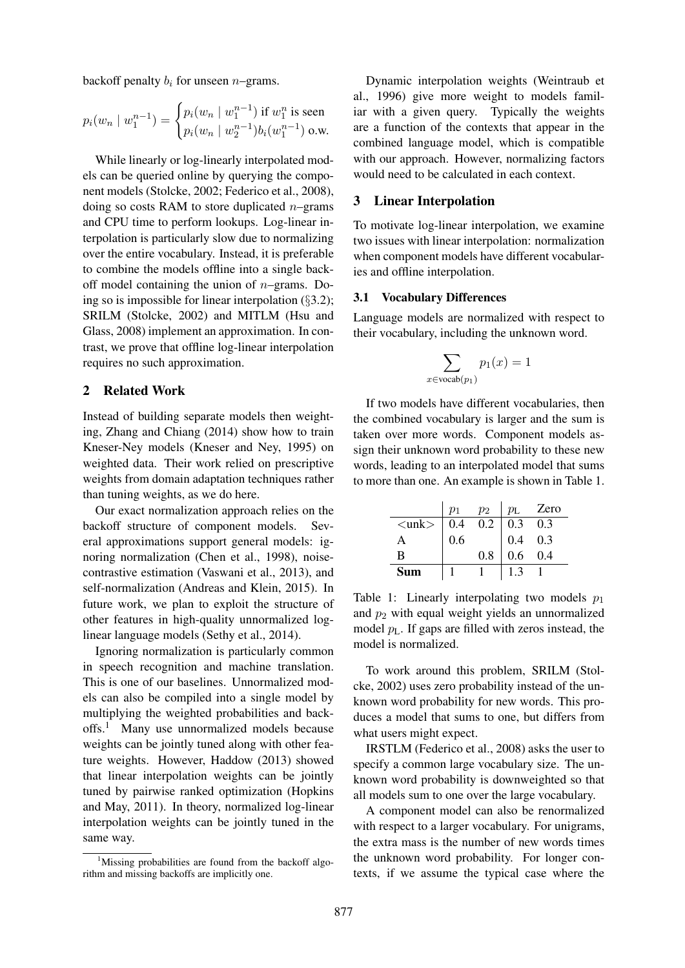backoff penalty  $b_i$  for unseen *n*–grams.

$$
p_i(w_n \mid w_1^{n-1}) = \begin{cases} p_i(w_n \mid w_1^{n-1}) \text{ if } w_1^n \text{ is seen} \\ p_i(w_n \mid w_2^{n-1}) b_i(w_1^{n-1}) \text{ o.w.} \end{cases}
$$

While linearly or log-linearly interpolated models can be queried online by querying the component models (Stolcke, 2002; Federico et al., 2008), doing so costs RAM to store duplicated  $n$ –grams and CPU time to perform lookups. Log-linear interpolation is particularly slow due to normalizing over the entire vocabulary. Instead, it is preferable to combine the models offline into a single backoff model containing the union of  $n$ –grams. Doing so is impossible for linear interpolation (§3.2); SRILM (Stolcke, 2002) and MITLM (Hsu and Glass, 2008) implement an approximation. In contrast, we prove that offline log-linear interpolation requires no such approximation.

# 2 Related Work

Instead of building separate models then weighting, Zhang and Chiang (2014) show how to train Kneser-Ney models (Kneser and Ney, 1995) on weighted data. Their work relied on prescriptive weights from domain adaptation techniques rather than tuning weights, as we do here.

Our exact normalization approach relies on the backoff structure of component models. Several approximations support general models: ignoring normalization (Chen et al., 1998), noisecontrastive estimation (Vaswani et al., 2013), and self-normalization (Andreas and Klein, 2015). In future work, we plan to exploit the structure of other features in high-quality unnormalized loglinear language models (Sethy et al., 2014).

Ignoring normalization is particularly common in speech recognition and machine translation. This is one of our baselines. Unnormalized models can also be compiled into a single model by multiplying the weighted probabilities and backoffs.<sup>1</sup> Many use unnormalized models because weights can be jointly tuned along with other feature weights. However, Haddow (2013) showed that linear interpolation weights can be jointly tuned by pairwise ranked optimization (Hopkins and May, 2011). In theory, normalized log-linear interpolation weights can be jointly tuned in the same way.

Dynamic interpolation weights (Weintraub et al., 1996) give more weight to models familiar with a given query. Typically the weights are a function of the contexts that appear in the combined language model, which is compatible with our approach. However, normalizing factors would need to be calculated in each context.

# 3 Linear Interpolation

To motivate log-linear interpolation, we examine two issues with linear interpolation: normalization when component models have different vocabularies and offline interpolation.

### 3.1 Vocabulary Differences

Language models are normalized with respect to their vocabulary, including the unknown word.

$$
\sum_{x \in \text{vocab}(p_1)} p_1(x) = 1
$$

If two models have different vocabularies, then the combined vocabulary is larger and the sum is taken over more words. Component models assign their unknown word probability to these new words, leading to an interpolated model that sums to more than one. An example is shown in Table 1.

|                         | $p_1$             | $p_2$ | $p_{\rm L}$      | Zero |
|-------------------------|-------------------|-------|------------------|------|
| $\langle$ unk $\rangle$ | $\vert 0.4 \vert$ | 0.2   | 0.3              | 0.3  |
| Α                       | 0.6               |       | 0.4              | 0.3  |
| B                       |                   | 0.8   | 0.6 <sub>0</sub> | 0.4  |
| Sum                     |                   |       |                  |      |

Table 1: Linearly interpolating two models  $p_1$ and  $p_2$  with equal weight yields an unnormalized model  $p_L$ . If gaps are filled with zeros instead, the model is normalized.

To work around this problem, SRILM (Stolcke, 2002) uses zero probability instead of the unknown word probability for new words. This produces a model that sums to one, but differs from what users might expect.

IRSTLM (Federico et al., 2008) asks the user to specify a common large vocabulary size. The unknown word probability is downweighted so that all models sum to one over the large vocabulary.

A component model can also be renormalized with respect to a larger vocabulary. For unigrams, the extra mass is the number of new words times the unknown word probability. For longer contexts, if we assume the typical case where the

<sup>&</sup>lt;sup>1</sup>Missing probabilities are found from the backoff algorithm and missing backoffs are implicitly one.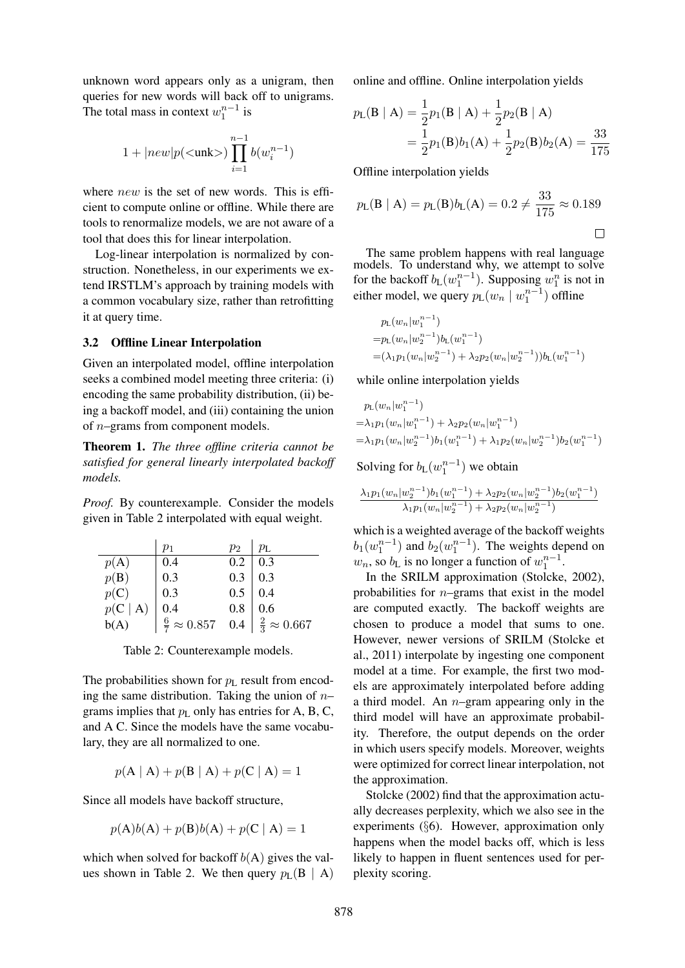unknown word appears only as a unigram, then queries for new words will back off to unigrams. The total mass in context  $w_1^{n-1}$  is

$$
1+|new|p(<\!\!\operatorname{unk}\!>)\prod_{i=1}^{n-1}b(w_i^{n-1})
$$

where *new* is the set of new words. This is efficient to compute online or offline. While there are tools to renormalize models, we are not aware of a tool that does this for linear interpolation.

Log-linear interpolation is normalized by construction. Nonetheless, in our experiments we extend IRSTLM's approach by training models with a common vocabulary size, rather than retrofitting it at query time.

# 3.2 Offline Linear Interpolation

Given an interpolated model, offline interpolation seeks a combined model meeting three criteria: (i) encoding the same probability distribution, (ii) being a backoff model, and (iii) containing the union of  $n$ –grams from component models.

Theorem 1. *The three offline criteria cannot be satisfied for general linearly interpolated backoff models.*

*Proof.* By counterexample. Consider the models given in Table 2 interpolated with equal weight.

|                    | $p_1$                                                       | $p_2$                                                   | $p_{\rm L}$ |
|--------------------|-------------------------------------------------------------|---------------------------------------------------------|-------------|
| p(A)               | 0.4                                                         | 0.2                                                     | 0.3         |
| $p(\mathbf{B})$    | 0.3                                                         | $\begin{array}{c c} 0.3 & 0.3 \\ 0.5 & 0.4 \end{array}$ |             |
| p(C)               | 0.3                                                         |                                                         |             |
| $p(C   A)$<br>b(A) | 0.4                                                         | 0.8                                                     | 0.6         |
|                    | $\frac{6}{7} \approx 0.857$ 0.4 $\frac{2}{3} \approx 0.667$ |                                                         |             |

Table 2: Counterexample models.

The probabilities shown for  $p_L$  result from encoding the same distribution. Taking the union of  $n$ grams implies that  $p_L$  only has entries for A, B, C, and A C. Since the models have the same vocabulary, they are all normalized to one.

$$
p(A | A) + p(B | A) + p(C | A) = 1
$$

Since all models have backoff structure,

$$
p(A)b(A) + p(B)b(A) + p(C | A) = 1
$$

which when solved for backoff  $b(A)$  gives the values shown in Table 2. We then query  $p_L(B \mid A)$  online and offline. Online interpolation yields

$$
p_{\mathsf{L}}(\mathsf{B} \mid \mathsf{A}) = \frac{1}{2} p_1(\mathsf{B} \mid \mathsf{A}) + \frac{1}{2} p_2(\mathsf{B} \mid \mathsf{A})
$$
  
=  $\frac{1}{2} p_1(\mathsf{B}) b_1(\mathsf{A}) + \frac{1}{2} p_2(\mathsf{B}) b_2(\mathsf{A}) = \frac{33}{175}$ 

Offline interpolation yields

$$
p_L(B \mid A) = p_L(B)b_L(A) = 0.2 \neq \frac{33}{175} \approx 0.189
$$

The same problem happens with real language models. To understand why, we attempt to solve for the backoff  $b_{\text{L}}(w_1^{n-1})$ . Supposing  $w_1^n$  is not in either model, we query  $p_L(w_n | w_1^{n-1})$  offline

$$
p_L(w_n|w_1^{n-1})
$$
  
=  $p_L(w_n|w_2^{n-1})b_L(w_1^{n-1})$   
=  $(\lambda_1p_1(w_n|w_2^{n-1}) + \lambda_2p_2(w_n|w_2^{n-1}))b_L(w_1^{n-1})$ 

while online interpolation yields

$$
p_L(w_n|w_1^{n-1})
$$
  
=  $\lambda_1 p_1(w_n|w_1^{n-1}) + \lambda_2 p_2(w_n|w_1^{n-1})$   
=  $\lambda_1 p_1(w_n|w_2^{n-1})b_1(w_1^{n-1}) + \lambda_1 p_2(w_n|w_2^{n-1})b_2(w_1^{n-1})$ 

Solving for  $b_{\text{L}}(w_1^{n-1})$  we obtain

$$
\frac{\lambda_1 p_1(w_n|w_2^{n-1})b_1(w_1^{n-1}) + \lambda_2 p_2(w_n|w_2^{n-1})b_2(w_1^{n-1})}{\lambda_1 p_1(w_n|w_2^{n-1}) + \lambda_2 p_2(w_n|w_2^{n-1})}
$$

which is a weighted average of the backoff weights  $b_1(w_1^{n-1})$  and  $b_2(w_1^{n-1})$ . The weights depend on  $w_n$ , so  $b_L$  is no longer a function of  $w_1^{n-1}$ .

In the SRILM approximation (Stolcke, 2002), probabilities for  $n$ –grams that exist in the model are computed exactly. The backoff weights are chosen to produce a model that sums to one. However, newer versions of SRILM (Stolcke et al., 2011) interpolate by ingesting one component model at a time. For example, the first two models are approximately interpolated before adding a third model. An  $n$ -gram appearing only in the third model will have an approximate probability. Therefore, the output depends on the order in which users specify models. Moreover, weights were optimized for correct linear interpolation, not the approximation.

Stolcke (2002) find that the approximation actually decreases perplexity, which we also see in the experiments (§6). However, approximation only happens when the model backs off, which is less likely to happen in fluent sentences used for perplexity scoring.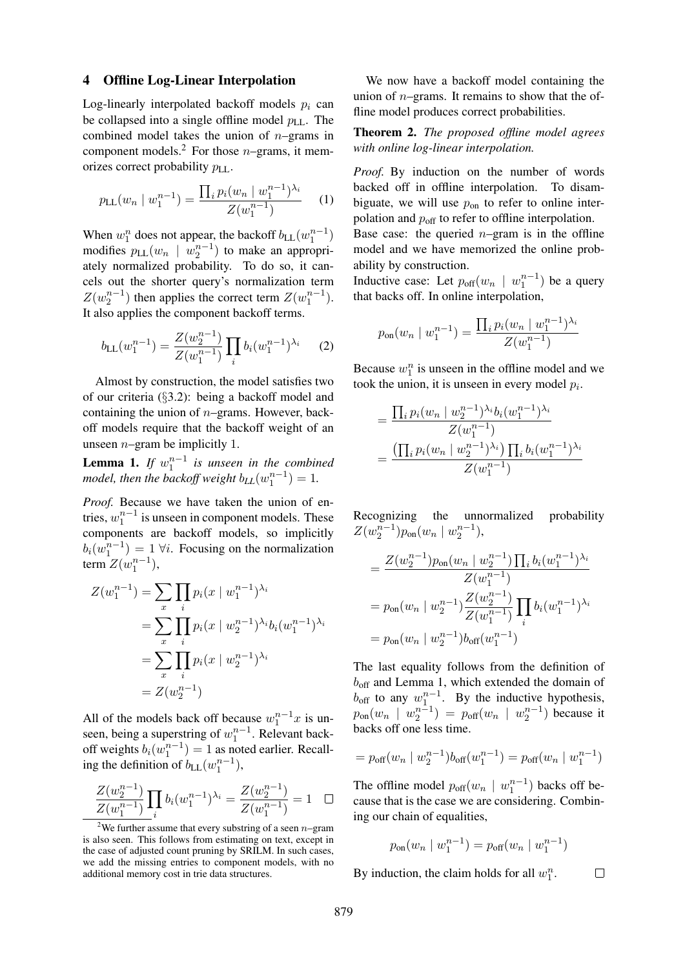#### 4 Offline Log-Linear Interpolation

Log-linearly interpolated backoff models  $p_i$  can be collapsed into a single offline model  $p_{LL}$ . The combined model takes the union of  $n$ –grams in component models.<sup>2</sup> For those *n*–grams, it memorizes correct probability  $p_{LL}$ .

$$
p_{\text{LL}}(w_n \mid w_1^{n-1}) = \frac{\prod_i p_i (w_n \mid w_1^{n-1})^{\lambda_i}}{Z(w_1^{n-1})} \qquad (1)
$$

When  $w_1^n$  does not appear, the backoff  $b_{LL}(w_1^{n-1})$ modifies  $p_{LL}(w_n \mid w_2^{n-1})$  to make an appropriately normalized probability. To do so, it cancels out the shorter query's normalization term  $Z(w_2^{n-1})$  then applies the correct term  $Z(w_1^{n-1})$ . It also applies the component backoff terms.

$$
b_{\text{LL}}(w_1^{n-1}) = \frac{Z(w_2^{n-1})}{Z(w_1^{n-1})} \prod_i b_i (w_1^{n-1})^{\lambda_i} \qquad (2)
$$

Almost by construction, the model satisfies two of our criteria (§3.2): being a backoff model and containing the union of  $n$ –grams. However, backoff models require that the backoff weight of an unseen  $n$ -gram be implicitly 1.

**Lemma 1.** If  $w_1^{n-1}$  is unseen in the combined *model, then the backoff weight*  $b_{LL}(w_1^{n-1}) = 1$ .

*Proof.* Because we have taken the union of entries,  $w_1^{n-1}$  is unseen in component models. These components are backoff models, so implicitly  $b_i(w_1^{n-1}) = 1 \,\forall i$ . Focusing on the normalization term  $Z(w_1^{n-1}),$ 

$$
Z(w_1^{n-1}) = \sum_{x} \prod_{i} p_i (x \mid w_1^{n-1})^{\lambda_i}
$$
  
= 
$$
\sum_{x} \prod_{i} p_i (x \mid w_2^{n-1})^{\lambda_i} b_i (w_1^{n-1})^{\lambda_i}
$$
  
= 
$$
\sum_{x} \prod_{i} p_i (x \mid w_2^{n-1})^{\lambda_i}
$$
  
= 
$$
Z(w_2^{n-1})
$$

All of the models back off because  $w_1^{n-1}x$  is unseen, being a superstring of  $w_1^{n-1}$ . Relevant backoff weights  $b_i(w_1^{n-1}) = 1$  as noted earlier. Recalling the definition of  $b_{LL}(w_1^{n-1}),$ 

$$
\frac{Z(w_2^{n-1})}{Z(w_1^{n-1})}\prod_i b_i(w_1^{n-1})^{\lambda_i} = \frac{Z(w_2^{n-1})}{Z(w_1^{n-1})} = 1 \quad \Box
$$

We now have a backoff model containing the union of  $n$ –grams. It remains to show that the offline model produces correct probabilities.

Theorem 2. *The proposed offline model agrees with online log-linear interpolation.*

*Proof.* By induction on the number of words backed off in offline interpolation. To disambiguate, we will use  $p_{\text{on}}$  to refer to online interpolation and  $p_{\text{off}}$  to refer to offline interpolation.

Base case: the queried  $n$ –gram is in the offline model and we have memorized the online probability by construction.

Inductive case: Let  $p_{off}(w_n \mid w_1^{n-1})$  be a query that backs off. In online interpolation,

$$
p_{\text{on}}(w_n \mid w_1^{n-1}) = \frac{\prod_i p_i (w_n \mid w_1^{n-1})^{\lambda_i}}{Z(w_1^{n-1})}
$$

Because  $w_1^n$  is unseen in the offline model and we took the union, it is unseen in every model  $p_i$ .

$$
= \frac{\prod_{i} p_{i}(w_{n} \mid w_{2}^{n-1})^{\lambda_{i}} b_{i}(w_{1}^{n-1})^{\lambda_{i}}}{Z(w_{1}^{n-1})}
$$

$$
= \frac{(\prod_{i} p_{i}(w_{n} \mid w_{2}^{n-1})^{\lambda_{i}}) \prod_{i} b_{i}(w_{1}^{n-1})^{\lambda_{i}}}{Z(w_{1}^{n-1})}
$$

Recognizing the unnormalized probability  $Z(w_2^{n-1})p_{\text{on}}(w_n | w_2^{n-1}),$ 

$$
= \frac{Z(w_2^{n-1})p_{\text{on}}(w_n \mid w_2^{n-1}) \prod_i b_i (w_1^{n-1})^{\lambda_i}}{Z(w_1^{n-1})}
$$

$$
= p_{\text{on}}(w_n \mid w_2^{n-1}) \frac{Z(w_2^{n-1})}{Z(w_1^{n-1})} \prod_i b_i (w_1^{n-1})^{\lambda_i}
$$

$$
= p_{\text{on}}(w_n \mid w_2^{n-1}) b_{\text{off}}(w_1^{n-1})
$$

The last equality follows from the definition of  $b_{\text{off}}$  and Lemma 1, which extended the domain of  $b_{\text{off}}$  to any  $w_1^{n-1}$ . By the inductive hypothesis,  $p_{\text{on}}(w_n \mid w_2^{n-1}) = p_{\text{off}}(w_n \mid w_2^{n-1})$  because it backs off one less time.

$$
= p_{\text{off}}(w_n \mid w_2^{n-1}) b_{\text{off}}(w_1^{n-1}) = p_{\text{off}}(w_n \mid w_1^{n-1})
$$

The offline model  $p_{off}(w_n \mid w_1^{n-1})$  backs off because that is the case we are considering. Combining our chain of equalities,

$$
p_{\text{on}}(w_n \mid w_1^{n-1}) = p_{\text{off}}(w_n \mid w_1^{n-1})
$$

 $\Box$ 

By induction, the claim holds for all  $w_1^n$ .

<sup>&</sup>lt;sup>2</sup>We further assume that every substring of a seen  $n$ –gram is also seen. This follows from estimating on text, except in the case of adjusted count pruning by SRILM. In such cases, we add the missing entries to component models, with no additional memory cost in trie data structures.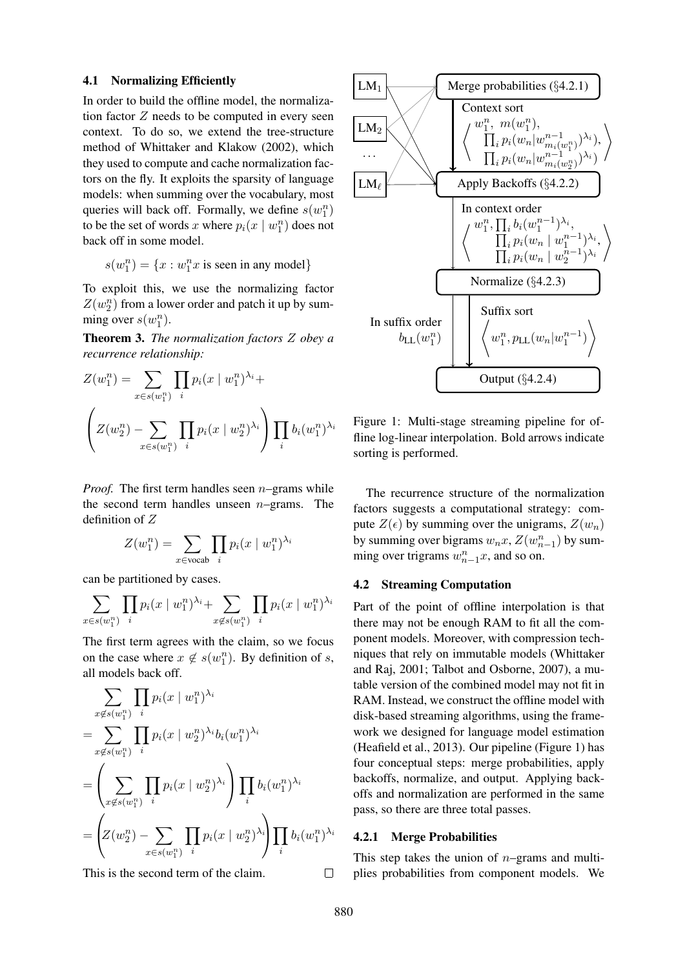#### 4.1 Normalizing Efficiently

In order to build the offline model, the normalization factor Z needs to be computed in every seen context. To do so, we extend the tree-structure method of Whittaker and Klakow (2002), which they used to compute and cache normalization factors on the fly. It exploits the sparsity of language models: when summing over the vocabulary, most queries will back off. Formally, we define  $s(w_1^n)$ to be the set of words x where  $p_i(x \mid w_1^n)$  does not back off in some model.

$$
s(w_1^n) = \{x : w_1^n x \text{ is seen in any model}\}
$$

To exploit this, we use the normalizing factor  $Z(w_2^n)$  from a lower order and patch it up by summing over  $s(w_1^n)$ .

Theorem 3. *The normalization factors* Z *obey a recurrence relationship:*

$$
Z(w_1^n) = \sum_{x \in s(w_1^n)} \prod_i p_i (x \mid w_1^n)^{\lambda_i} +
$$

$$
\left(Z(w_2^n) - \sum_{x \in s(w_1^n)} \prod_i p_i (x \mid w_2^n)^{\lambda_i}\right) \prod_i b_i (w_1^n)^{\lambda_i}
$$

*Proof.* The first term handles seen *n*–grams while the second term handles unseen  $n$ -grams. The definition of Z

$$
Z(w_1^n) = \sum_{x \in \text{vocab}} \prod_i p_i (x \mid w_1^n)^{\lambda_i}
$$

can be partitioned by cases.

$$
\sum_{x \in s(w_1^n)} \prod_i p_i(x \mid w_1^n)^{\lambda_i} + \sum_{x \notin s(w_1^n)} \prod_i p_i(x \mid w_1^n)^{\lambda_i}
$$

The first term agrees with the claim, so we focus on the case where  $x \notin s(w_1^n)$ . By definition of s, all models back off.

$$
\sum_{x \notin s(w_1^n)} \prod_i p_i (x \mid w_1^n)^{\lambda_i}
$$
\n
$$
= \sum_{x \notin s(w_1^n)} \prod_i p_i (x \mid w_2^n)^{\lambda_i} b_i (w_1^n)^{\lambda_i}
$$
\n
$$
= \left( \sum_{x \notin s(w_1^n)} \prod_i p_i (x \mid w_2^n)^{\lambda_i} \right) \prod_i b_i (w_1^n)^{\lambda_i}
$$
\n
$$
= \left( Z(w_2^n) - \sum_{x \in s(w_1^n)} \prod_i p_i (x \mid w_2^n)^{\lambda_i} \right) \prod_i b_i (w_1^n)^{\lambda_i}
$$

This is the second term of the claim.



Figure 1: Multi-stage streaming pipeline for offline log-linear interpolation. Bold arrows indicate sorting is performed.

The recurrence structure of the normalization factors suggests a computational strategy: compute  $Z(\epsilon)$  by summing over the unigrams,  $Z(w_n)$ by summing over bigrams  $w_n x$ ,  $Z(w_{n-1}^n)$  by summing over trigrams  $w_{n-1}^n x$ , and so on.

# 4.2 Streaming Computation

Part of the point of offline interpolation is that there may not be enough RAM to fit all the component models. Moreover, with compression techniques that rely on immutable models (Whittaker and Raj, 2001; Talbot and Osborne, 2007), a mutable version of the combined model may not fit in RAM. Instead, we construct the offline model with disk-based streaming algorithms, using the framework we designed for language model estimation (Heafield et al., 2013). Our pipeline (Figure 1) has four conceptual steps: merge probabilities, apply backoffs, normalize, and output. Applying backoffs and normalization are performed in the same pass, so there are three total passes.

# 4.2.1 Merge Probabilities

This step takes the union of  $n$ -grams and multiplies probabilities from component models. We

 $\Box$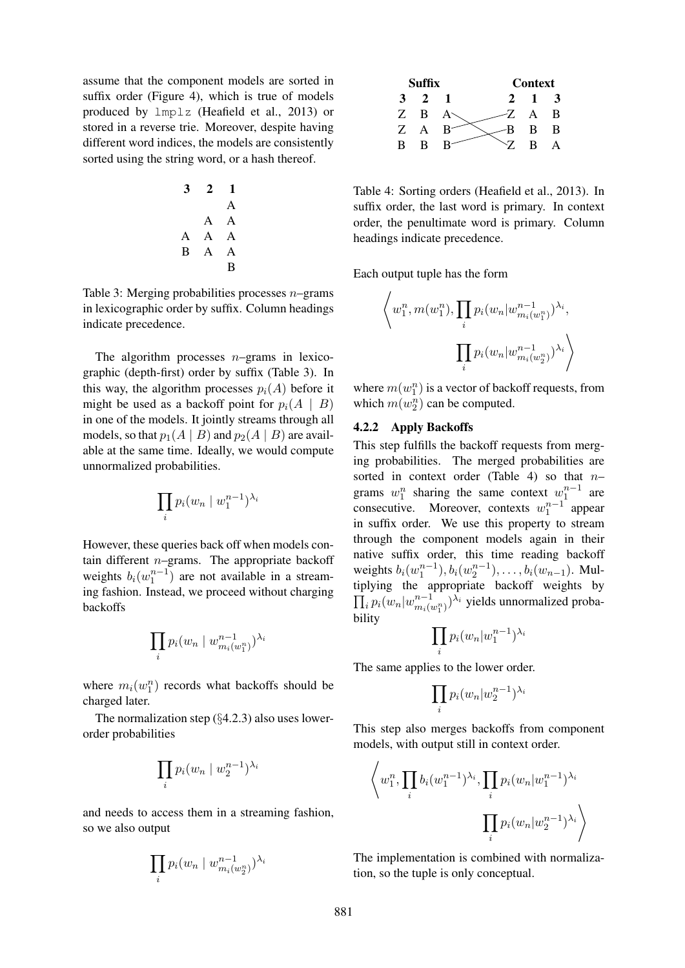assume that the component models are sorted in suffix order (Figure 4), which is true of models produced by lmplz (Heafield et al., 2013) or stored in a reverse trie. Moreover, despite having different word indices, the models are consistently sorted using the string word, or a hash thereof.

$$
\begin{array}{ccccc}\n3 & 2 & 1 \\
& & A \\
& A & A \\
A & A & A \\
B & A & A \\
B & A & B\n\end{array}
$$

Table 3: Merging probabilities processes  $n$ -grams in lexicographic order by suffix. Column headings indicate precedence.

The algorithm processes  $n$ -grams in lexicographic (depth-first) order by suffix (Table 3). In this way, the algorithm processes  $p_i(A)$  before it might be used as a backoff point for  $p_i(A \mid B)$ in one of the models. It jointly streams through all models, so that  $p_1(A | B)$  and  $p_2(A | B)$  are available at the same time. Ideally, we would compute unnormalized probabilities.

$$
\prod_i p_i (w_n \mid w_1^{n-1})^{\lambda_i}
$$

However, these queries back off when models contain different  $n$ -grams. The appropriate backoff weights  $b_i(w_1^{n-1})$  are not available in a streaming fashion. Instead, we proceed without charging backoffs

$$
\prod_i p_i(w_n \mid w_{m_i(w_1^n)}^{n-1})^{\lambda_i}
$$

where  $m_i(w_1^n)$  records what backoffs should be charged later.

The normalization step  $(\S4.2.3)$  also uses lowerorder probabilities

$$
\prod_i p_i (w_n \mid w_2^{n-1})^{\lambda_i}
$$

and needs to access them in a streaming fashion, so we also output

$$
\prod_i p_i(w_n \mid w_{m_i(w_2^n)}^{n-1})^{\lambda_i}
$$



Table 4: Sorting orders (Heafield et al., 2013). In suffix order, the last word is primary. In context order, the penultimate word is primary. Column headings indicate precedence.

Each output tuple has the form

$$
\left\langle w_1^n, m(w_1^n), \prod_i p_i(w_n|w_{m_i(w_1^n)}^{n-1})^{\lambda_i},\right.\\\left.\prod_i p_i(w_n|w_{m_i(w_2^n)}^{n-1})^{\lambda_i}\right\rangle
$$

where  $m(w_1^n)$  is a vector of backoff requests, from which  $m(w_2^n)$  can be computed.

# 4.2.2 Apply Backoffs

This step fulfills the backoff requests from merging probabilities. The merged probabilities are sorted in context order (Table 4) so that  $n$ grams  $w_1^n$  sharing the same context  $w_1^{n-1}$  are consecutive. Moreover, contexts  $w_1^{n-1}$  appear in suffix order. We use this property to stream through the component models again in their native suffix order, this time reading backoff weights  $b_i(w_1^{n-1}), b_i(w_2^{n-1}), \ldots, b_i(w_{n-1})$ . Multiplying the appropriate backoff weights by  $\prod_i p_i(w_n|w_{m_i(w_1^n)}^{n-1})^{\lambda_i}$  yields unnormalized probability

$$
\prod_i p_i (w_n | w_1^{n-1})^{\lambda_i}
$$

The same applies to the lower order.

$$
\prod_i p_i (w_n | w_2^{n-1})^{\lambda_i}
$$

This step also merges backoffs from component models, with output still in context order.

$$
\left\langle w_1^n, \prod_i b_i (w_1^{n-1})^{\lambda_i}, \prod_i p_i (w_n | w_1^{n-1})^{\lambda_i} \right\rangle
$$

$$
\prod_i p_i (w_n | w_2^{n-1})^{\lambda_i} \left\rangle
$$

The implementation is combined with normalization, so the tuple is only conceptual.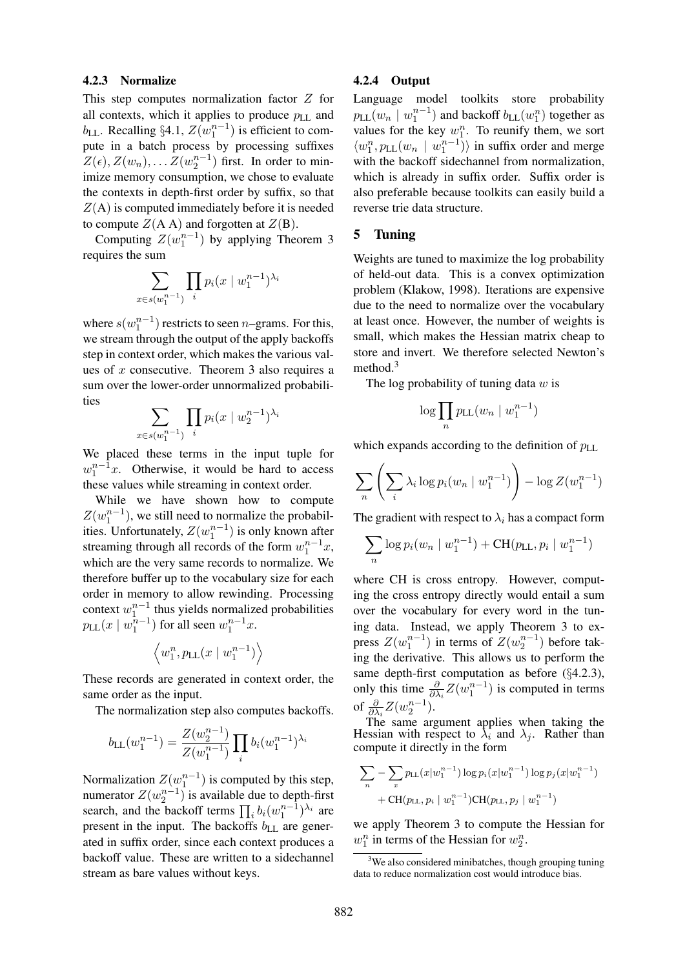### 4.2.3 Normalize

This step computes normalization factor Z for all contexts, which it applies to produce  $p_{\text{LL}}$  and  $b_{\text{LL}}$ . Recalling §4.1,  $Z(w_1^{n-1})$  is efficient to compute in a batch process by processing suffixes  $Z(\epsilon), Z(w_n), \ldots Z(w_2^{n-1})$  first. In order to minimize memory consumption, we chose to evaluate the contexts in depth-first order by suffix, so that  $Z(A)$  is computed immediately before it is needed to compute  $Z(A \cap A)$  and forgotten at  $Z(B)$ .

Computing  $Z(w_1^{n-1})$  by applying Theorem 3 requires the sum

$$
\sum_{x \in s(w_1^{n-1})} \prod_i p_i(x \mid w_1^{n-1})^{\lambda_i}
$$

where  $s(w_1^{n-1})$  restricts to seen *n*–grams. For this, we stream through the output of the apply backoffs step in context order, which makes the various values of  $x$  consecutive. Theorem 3 also requires a sum over the lower-order unnormalized probabilities

$$
\sum_{x \in s(w_1^{n-1})} \prod_i p_i(x \mid w_2^{n-1})^{\lambda_i}
$$

We placed these terms in the input tuple for  $w_1^{n-1}x$ . Otherwise, it would be hard to access these values while streaming in context order.

While we have shown how to compute  $Z(w_1^{n-1})$ , we still need to normalize the probabilities. Unfortunately,  $Z(w_1^{n-1})$  is only known after streaming through all records of the form  $w_1^{n-1}x$ , which are the very same records to normalize. We therefore buffer up to the vocabulary size for each order in memory to allow rewinding. Processing context  $w_1^{n-1}$  thus yields normalized probabilities  $p_{\text{LL}}(x \mid w_1^{\overline{n}-1})$  for all seen  $w_1^{n-1}x$ .

$$
\left\langle w_1^n, p_{\text{LL}}(x \mid w_1^{n-1}) \right\rangle
$$

These records are generated in context order, the same order as the input.

The normalization step also computes backoffs.

$$
b_{\rm LL}(w_1^{n-1}) = \frac{Z(w_2^{n-1})}{Z(w_1^{n-1})} \prod_i b_i (w_1^{n-1})^{\lambda_i}
$$

Normalization  $Z(w_1^{n-1})$  is computed by this step, numerator  $Z(w_2^{n-1})$  is available due to depth-first search, and the backoff terms  $\prod_i b_i (w_1^{n-1})^{\lambda_i}$  are present in the input. The backoffs  $b_{LL}$  are generated in suffix order, since each context produces a backoff value. These are written to a sidechannel stream as bare values without keys.

### 4.2.4 Output

Language model toolkits store probability  $p_{\text{LL}}(w_n \mid w_1^{n-1})$  and backoff  $b_{\text{LL}}(w_1^n)$  together as values for the key  $w_1^n$ . To reunify them, we sort  $\langle w_1^n, p_{\text{LL}}(w_n \mid w_1^{n-1}) \rangle$  in suffix order and merge with the backoff sidechannel from normalization, which is already in suffix order. Suffix order is also preferable because toolkits can easily build a reverse trie data structure.

# 5 Tuning

Weights are tuned to maximize the log probability of held-out data. This is a convex optimization problem (Klakow, 1998). Iterations are expensive due to the need to normalize over the vocabulary at least once. However, the number of weights is small, which makes the Hessian matrix cheap to store and invert. We therefore selected Newton's method.<sup>3</sup>

The log probability of tuning data  $w$  is

$$
\log \prod_n p_{\text{LL}}(w_n \mid w_1^{n-1})
$$

which expands according to the definition of  $p_{LL}$ 

$$
\sum_{n} \left( \sum_{i} \lambda_i \log p_i(w_n \mid w_1^{n-1}) \right) - \log Z(w_1^{n-1})
$$

The gradient with respect to  $\lambda_i$  has a compact form

$$
\sum_{n} \log p_i(w_n \mid w_1^{n-1}) + \text{CH}(p_{\text{LL}}, p_i \mid w_1^{n-1})
$$

where CH is cross entropy. However, computing the cross entropy directly would entail a sum over the vocabulary for every word in the tuning data. Instead, we apply Theorem 3 to express  $Z(w_1^{n-1})$  in terms of  $Z(w_2^{n-1})$  before taking the derivative. This allows us to perform the same depth-first computation as before (§4.2.3), only this time  $\frac{\partial}{\partial \lambda_i} Z(w_1^{n-1})$  is computed in terms of  $\frac{\partial}{\partial \lambda_i} Z(w_2^{n-1})$ .

The same argument applies when taking the Hessian with respect to  $\lambda_i$  and  $\lambda_j$ . Rather than compute it directly in the form

$$
\sum_{n} -\sum_{x} p_{\text{LL}}(x|w_1^{n-1}) \log p_i(x|w_1^{n-1}) \log p_j(x|w_1^{n-1}) + \text{CH}(p_{\text{LL}}, p_i | w_1^{n-1}) \text{CH}(p_{\text{LL}}, p_j | w_1^{n-1})
$$

we apply Theorem 3 to compute the Hessian for  $w_1^n$  in terms of the Hessian for  $w_2^n$ .

 $3$ We also considered minibatches, though grouping tuning data to reduce normalization cost would introduce bias.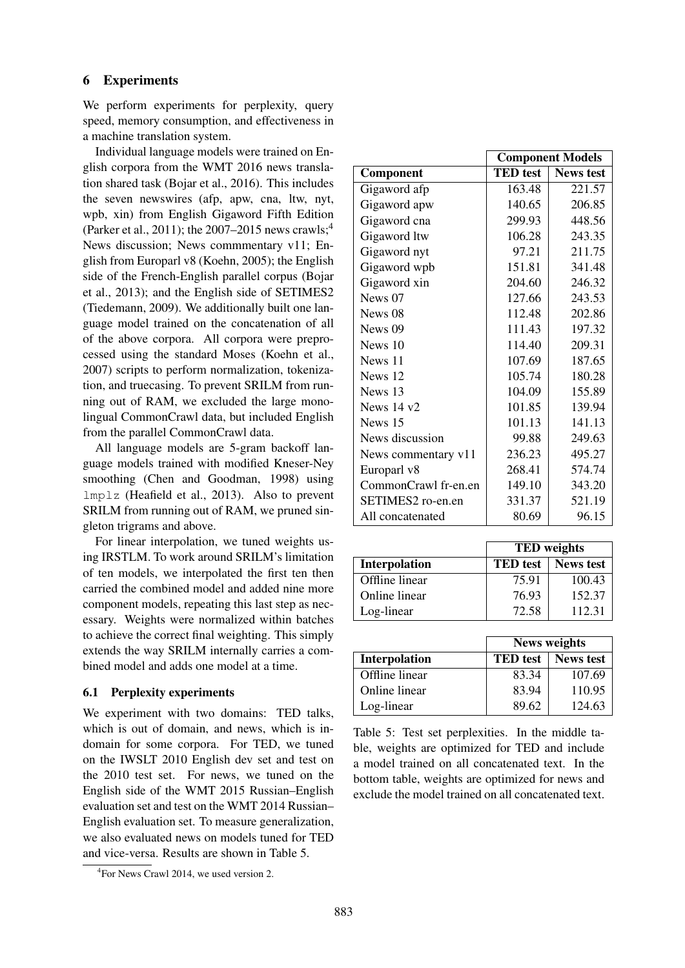# 6 Experiments

We perform experiments for perplexity, query speed, memory consumption, and effectiveness in a machine translation system.

Individual language models were trained on English corpora from the WMT 2016 news translation shared task (Bojar et al., 2016). This includes the seven newswires (afp, apw, cna, ltw, nyt, wpb, xin) from English Gigaword Fifth Edition (Parker et al., 2011); the  $2007-2015$  news crawls;<sup>4</sup> News discussion; News commmentary v11; English from Europarl v8 (Koehn, 2005); the English side of the French-English parallel corpus (Bojar et al., 2013); and the English side of SETIMES2 (Tiedemann, 2009). We additionally built one language model trained on the concatenation of all of the above corpora. All corpora were preprocessed using the standard Moses (Koehn et al., 2007) scripts to perform normalization, tokenization, and truecasing. To prevent SRILM from running out of RAM, we excluded the large monolingual CommonCrawl data, but included English from the parallel CommonCrawl data.

All language models are 5-gram backoff language models trained with modified Kneser-Ney smoothing (Chen and Goodman, 1998) using lmplz (Heafield et al., 2013). Also to prevent SRILM from running out of RAM, we pruned singleton trigrams and above.

For linear interpolation, we tuned weights using IRSTLM. To work around SRILM's limitation of ten models, we interpolated the first ten then carried the combined model and added nine more component models, repeating this last step as necessary. Weights were normalized within batches to achieve the correct final weighting. This simply extends the way SRILM internally carries a combined model and adds one model at a time.

# 6.1 Perplexity experiments

We experiment with two domains: TED talks, which is out of domain, and news, which is indomain for some corpora. For TED, we tuned on the IWSLT 2010 English dev set and test on the 2010 test set. For news, we tuned on the English side of the WMT 2015 Russian–English evaluation set and test on the WMT 2014 Russian– English evaluation set. To measure generalization, we also evaluated news on models tuned for TED and vice-versa. Results are shown in Table 5.

|                      | <b>Component Models</b> |                  |  |
|----------------------|-------------------------|------------------|--|
| Component            | <b>TED</b> test         | <b>News test</b> |  |
| Gigaword afp         | 163.48                  | 221.57           |  |
| Gigaword apw         | 140.65                  | 206.85           |  |
| Gigaword cna         | 299.93                  | 448.56           |  |
| Gigaword ltw         | 106.28                  | 243.35           |  |
| Gigaword nyt         | 97.21                   | 211.75           |  |
| Gigaword wpb         | 151.81                  | 341.48           |  |
| Gigaword xin         | 204.60                  | 246.32           |  |
| News 07              | 127.66                  | 243.53           |  |
| News 08              | 112.48                  | 202.86           |  |
| News 09              | 111.43                  | 197.32           |  |
| News 10              | 114.40                  | 209.31           |  |
| News 11              | 107.69                  | 187.65           |  |
| News 12              | 105.74                  | 180.28           |  |
| News 13              | 104.09                  | 155.89           |  |
| News $14 \text{ v}2$ | 101.85                  | 139.94           |  |
| News 15              | 101.13                  | 141.13           |  |
| News discussion      | 99.88                   | 249.63           |  |
| News commentary v11  | 236.23                  | 495.27           |  |
| Europarl v8          | 268.41                  | 574.74           |  |
| CommonCrawl fr-en.en | 149.10                  | 343.20           |  |
| SETIMES2 ro-en.en    | 331.37                  | 521.19           |  |
| All concatenated     | 80.69                   | 96.15            |  |

|                      | <b>TED</b> weights |                  |  |
|----------------------|--------------------|------------------|--|
| <b>Interpolation</b> | <b>TED</b> test    | <b>News test</b> |  |
| Offline linear       | 75.91              | 100.43           |  |
| Online linear        | 76.93              | 152.37           |  |
| Log-linear           | 72.58              | 112.31           |  |

|                      | <b>News weights</b> |                  |  |
|----------------------|---------------------|------------------|--|
| <b>Interpolation</b> | <b>TED</b> test     | <b>News test</b> |  |
| Offline linear       | 83.34               | 107.69           |  |
| Online linear        | 83.94               | 110.95           |  |
| Log-linear           | 89.62               | 124.63           |  |

Table 5: Test set perplexities. In the middle table, weights are optimized for TED and include a model trained on all concatenated text. In the bottom table, weights are optimized for news and exclude the model trained on all concatenated text.

<sup>4</sup> For News Crawl 2014, we used version 2.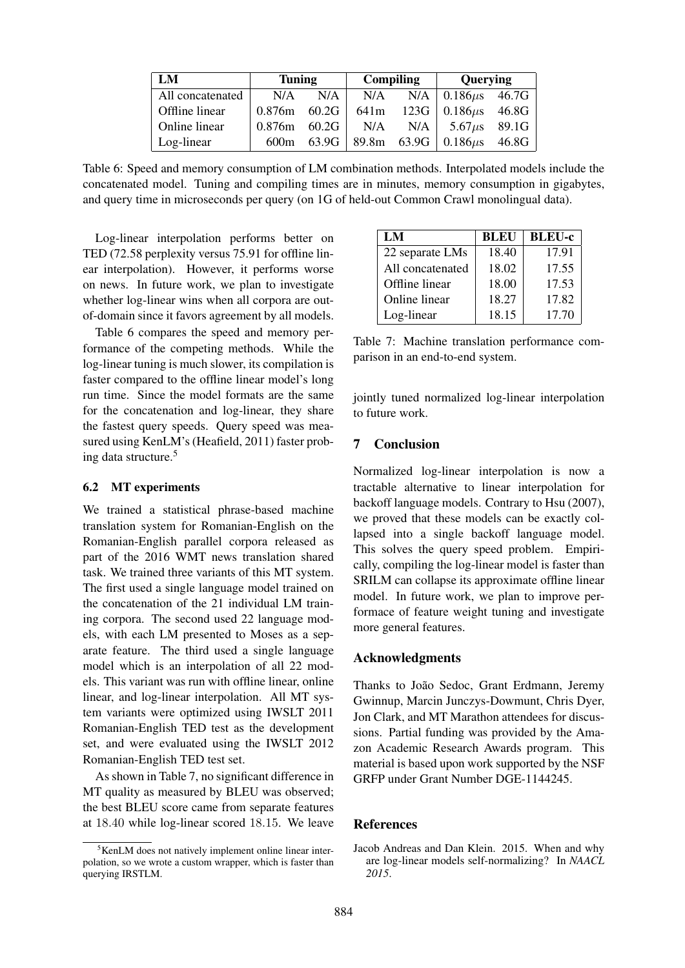| LM               | <b>Tuning</b> |       | Compiling        |       | Querying                  |       |
|------------------|---------------|-------|------------------|-------|---------------------------|-------|
| All concatenated | N/A           | N/A   | N/A              |       | $N/A$ 0.186 $\mu$ s 46.7G |       |
| Offline linear   | 0.876m        | 60.2G | 641 <sub>m</sub> | 123G  | $0.186 \mu s$ 46.8G       |       |
| Online linear    | 0.876m        | 60.2G | N/A              | N/A   | 5.67 $\mu$ s 89.1G        |       |
| Log-linear       | 600m          | 63.9G | 89.8m            | 63.9G | $0.186\mu s$              | 46.8G |

Table 6: Speed and memory consumption of LM combination methods. Interpolated models include the concatenated model. Tuning and compiling times are in minutes, memory consumption in gigabytes, and query time in microseconds per query (on 1G of held-out Common Crawl monolingual data).

Log-linear interpolation performs better on TED (72.58 perplexity versus 75.91 for offline linear interpolation). However, it performs worse on news. In future work, we plan to investigate whether log-linear wins when all corpora are outof-domain since it favors agreement by all models.

Table 6 compares the speed and memory performance of the competing methods. While the log-linear tuning is much slower, its compilation is faster compared to the offline linear model's long run time. Since the model formats are the same for the concatenation and log-linear, they share the fastest query speeds. Query speed was measured using KenLM's (Heafield, 2011) faster probing data structure.<sup>5</sup>

### 6.2 MT experiments

We trained a statistical phrase-based machine translation system for Romanian-English on the Romanian-English parallel corpora released as part of the 2016 WMT news translation shared task. We trained three variants of this MT system. The first used a single language model trained on the concatenation of the 21 individual LM training corpora. The second used 22 language models, with each LM presented to Moses as a separate feature. The third used a single language model which is an interpolation of all 22 models. This variant was run with offline linear, online linear, and log-linear interpolation. All MT system variants were optimized using IWSLT 2011 Romanian-English TED test as the development set, and were evaluated using the IWSLT 2012 Romanian-English TED test set.

As shown in Table 7, no significant difference in MT quality as measured by BLEU was observed; the best BLEU score came from separate features at 18.40 while log-linear scored 18.15. We leave

| LM               | <b>BLEU</b> | <b>BLEU-c</b> |  |
|------------------|-------------|---------------|--|
| 22 separate LMs  | 18.40       | 17.91         |  |
| All concatenated | 18.02       | 17.55         |  |
| Offline linear   | 18.00       | 17.53         |  |
| Online linear    | 18.27       | 17.82         |  |
| Log-linear       | 18.15       | 17.70         |  |

Table 7: Machine translation performance comparison in an end-to-end system.

jointly tuned normalized log-linear interpolation to future work.

# 7 Conclusion

Normalized log-linear interpolation is now a tractable alternative to linear interpolation for backoff language models. Contrary to Hsu (2007), we proved that these models can be exactly collapsed into a single backoff language model. This solves the query speed problem. Empirically, compiling the log-linear model is faster than SRILM can collapse its approximate offline linear model. In future work, we plan to improve performace of feature weight tuning and investigate more general features.

### Acknowledgments

Thanks to João Sedoc, Grant Erdmann, Jeremy Gwinnup, Marcin Junczys-Dowmunt, Chris Dyer, Jon Clark, and MT Marathon attendees for discussions. Partial funding was provided by the Amazon Academic Research Awards program. This material is based upon work supported by the NSF GRFP under Grant Number DGE-1144245.

### References

 ${}^{5}$ KenLM does not natively implement online linear interpolation, so we wrote a custom wrapper, which is faster than querying IRSTLM.

Jacob Andreas and Dan Klein. 2015. When and why are log-linear models self-normalizing? In *NAACL 2015*.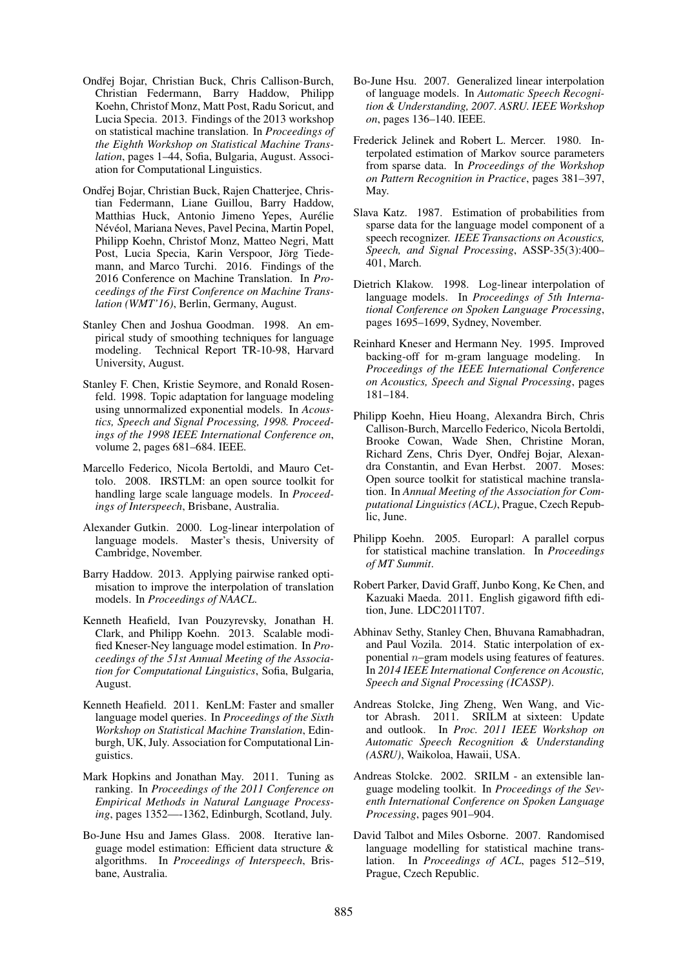- Ondřej Bojar, Christian Buck, Chris Callison-Burch, Christian Federmann, Barry Haddow, Philipp Koehn, Christof Monz, Matt Post, Radu Soricut, and Lucia Specia. 2013. Findings of the 2013 workshop on statistical machine translation. In *Proceedings of the Eighth Workshop on Statistical Machine Translation*, pages 1–44, Sofia, Bulgaria, August. Association for Computational Linguistics.
- Ondřej Bojar, Christian Buck, Rajen Chatterjee, Christian Federmann, Liane Guillou, Barry Haddow, Matthias Huck, Antonio Jimeno Yepes, Aurelie ´ Névéol, Mariana Neves, Pavel Pecina, Martin Popel, Philipp Koehn, Christof Monz, Matteo Negri, Matt Post, Lucia Specia, Karin Verspoor, Jörg Tiedemann, and Marco Turchi. 2016. Findings of the 2016 Conference on Machine Translation. In *Proceedings of the First Conference on Machine Translation (WMT'16)*, Berlin, Germany, August.
- Stanley Chen and Joshua Goodman. 1998. An empirical study of smoothing techniques for language modeling. Technical Report TR-10-98, Harvard University, August.
- Stanley F. Chen, Kristie Seymore, and Ronald Rosenfeld. 1998. Topic adaptation for language modeling using unnormalized exponential models. In *Acoustics, Speech and Signal Processing, 1998. Proceedings of the 1998 IEEE International Conference on*, volume 2, pages 681–684. IEEE.
- Marcello Federico, Nicola Bertoldi, and Mauro Cettolo. 2008. IRSTLM: an open source toolkit for handling large scale language models. In *Proceedings of Interspeech*, Brisbane, Australia.
- Alexander Gutkin. 2000. Log-linear interpolation of language models. Master's thesis, University of Cambridge, November.
- Barry Haddow. 2013. Applying pairwise ranked optimisation to improve the interpolation of translation models. In *Proceedings of NAACL*.
- Kenneth Heafield, Ivan Pouzyrevsky, Jonathan H. Clark, and Philipp Koehn. 2013. Scalable modified Kneser-Ney language model estimation. In *Proceedings of the 51st Annual Meeting of the Association for Computational Linguistics*, Sofia, Bulgaria, August.
- Kenneth Heafield. 2011. KenLM: Faster and smaller language model queries. In *Proceedings of the Sixth Workshop on Statistical Machine Translation*, Edinburgh, UK, July. Association for Computational Linguistics.
- Mark Hopkins and Jonathan May. 2011. Tuning as ranking. In *Proceedings of the 2011 Conference on Empirical Methods in Natural Language Processing*, pages 1352—-1362, Edinburgh, Scotland, July.
- Bo-June Hsu and James Glass. 2008. Iterative language model estimation: Efficient data structure & algorithms. In *Proceedings of Interspeech*, Brisbane, Australia.
- Bo-June Hsu. 2007. Generalized linear interpolation of language models. In *Automatic Speech Recognition & Understanding, 2007. ASRU. IEEE Workshop on*, pages 136–140. IEEE.
- Frederick Jelinek and Robert L. Mercer. 1980. Interpolated estimation of Markov source parameters from sparse data. In *Proceedings of the Workshop on Pattern Recognition in Practice*, pages 381–397, May.
- Slava Katz. 1987. Estimation of probabilities from sparse data for the language model component of a speech recognizer. *IEEE Transactions on Acoustics, Speech, and Signal Processing*, ASSP-35(3):400– 401, March.
- Dietrich Klakow. 1998. Log-linear interpolation of language models. In *Proceedings of 5th International Conference on Spoken Language Processing*, pages 1695–1699, Sydney, November.
- Reinhard Kneser and Hermann Ney. 1995. Improved backing-off for m-gram language modeling. In *Proceedings of the IEEE International Conference on Acoustics, Speech and Signal Processing*, pages 181–184.
- Philipp Koehn, Hieu Hoang, Alexandra Birch, Chris Callison-Burch, Marcello Federico, Nicola Bertoldi, Brooke Cowan, Wade Shen, Christine Moran, Richard Zens, Chris Dyer, Ondřej Bojar, Alexandra Constantin, and Evan Herbst. 2007. Moses: Open source toolkit for statistical machine translation. In *Annual Meeting of the Association for Computational Linguistics (ACL)*, Prague, Czech Republic, June.
- Philipp Koehn. 2005. Europarl: A parallel corpus for statistical machine translation. In *Proceedings of MT Summit*.
- Robert Parker, David Graff, Junbo Kong, Ke Chen, and Kazuaki Maeda. 2011. English gigaword fifth edition, June. LDC2011T07.
- Abhinav Sethy, Stanley Chen, Bhuvana Ramabhadran, and Paul Vozila. 2014. Static interpolation of exponential  $n$ –gram models using features of features. In *2014 IEEE International Conference on Acoustic, Speech and Signal Processing (ICASSP)*.
- Andreas Stolcke, Jing Zheng, Wen Wang, and Victor Abrash. 2011. SRILM at sixteen: Update and outlook. In *Proc. 2011 IEEE Workshop on Automatic Speech Recognition & Understanding (ASRU)*, Waikoloa, Hawaii, USA.
- Andreas Stolcke. 2002. SRILM an extensible language modeling toolkit. In *Proceedings of the Seventh International Conference on Spoken Language Processing*, pages 901–904.
- David Talbot and Miles Osborne. 2007. Randomised language modelling for statistical machine translation. In *Proceedings of ACL*, pages 512–519, Prague, Czech Republic.